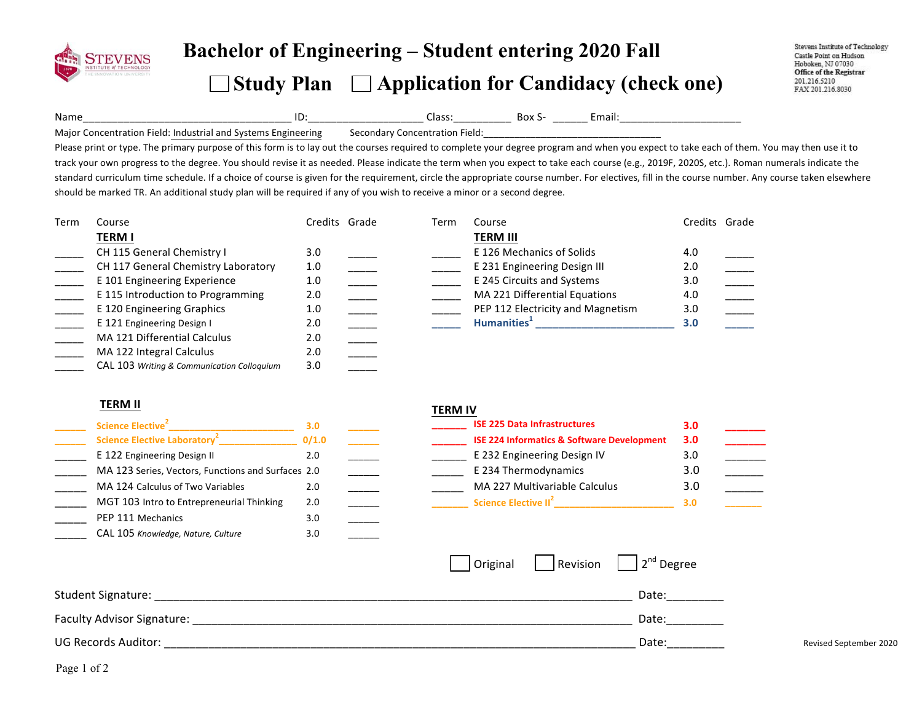

# **Bachelor of Engineering – Student entering <sup>20</sup>20 Fall**   $\Box$  Study Plan  $\Box$  Application for Candidacy (check one)

Stevens Institute of Technology Castle Point on Hudson Hoboken, NJ 07030 Office of the Registrar 201.216.5210 FAX 201.216.8030

Name\_\_\_\_\_\_\_\_\_\_\_\_\_\_\_\_\_\_\_\_\_\_\_\_\_\_\_\_\_\_\_\_\_\_\_\_!ID:\_\_\_\_\_\_\_\_\_\_\_\_\_\_\_\_\_\_\_\_!Class:\_\_\_\_\_\_\_\_\_\_!!Box!S- \_\_\_\_\_\_!Email:\_\_\_\_\_\_\_\_\_\_\_\_\_\_\_\_\_\_\_\_\_!

Major Concentration Field: Industrial and Systems Engineering Secondary Concentration Field:

Please print or type. The primary purpose of this form is to lay out the courses required to complete your degree program and when you expect to take each of them. You may then use it to track your own progress to the degree. You should revise it as needed. Please indicate the term when you expect to take each course (e.g., 2019F, 2020S, etc.). Roman numerals indicate the standard curriculum time schedule. If a choice of course is given for the requirement, circle the appropriate course number. For electives, fill in the course number. Any course taken elsewhere should be marked TR. An additional study plan will be required if any of you wish to receive a minor or a second degree.

| Term | Course                                     | Credits Grade | Term | Course                            | Credits Grade |  |
|------|--------------------------------------------|---------------|------|-----------------------------------|---------------|--|
|      | <b>TERM I</b>                              |               |      | <b>TERM III</b>                   |               |  |
|      | CH 115 General Chemistry I                 | 3.0           |      | E 126 Mechanics of Solids         | 4.0           |  |
|      | CH 117 General Chemistry Laboratory        | 1.0           |      | E 231 Engineering Design III      | 2.0           |  |
|      | E 101 Engineering Experience               | 1.0           |      | E 245 Circuits and Systems        | 3.0           |  |
|      | E 115 Introduction to Programming          | 2.0           |      | MA 221 Differential Equations     | 4.0           |  |
|      | E 120 Engineering Graphics                 | 1.0           |      | PEP 112 Electricity and Magnetism | 3.0           |  |
|      | E 121 Engineering Design I                 | 2.0           |      | Humanities <sup>+</sup>           | 3.0           |  |
|      | MA 121 Differential Calculus               | 2.0           |      |                                   |               |  |
|      | MA 122 Integral Calculus                   | 2.0           |      |                                   |               |  |
|      | CAL 103 Writing & Communication Colloquium | 3.0           |      |                                   |               |  |

#### **TERM%II%**

| Science Elective <sup>2</sup>                      | 3.0   |  |
|----------------------------------------------------|-------|--|
| Science Elective Laboratory <sup>2</sup>           | 0/1.0 |  |
| E 122 Engineering Design II                        | 2.0   |  |
| MA 123 Series, Vectors, Functions and Surfaces 2.0 |       |  |
| MA 124 Calculus of Two Variables                   | 2.0   |  |
| MGT 103 Intro to Entrepreneurial Thinking          | 2.0   |  |
| PEP 111 Mechanics                                  | 3.0   |  |
| CAL 105 Knowledge, Nature, Culture                 | 3.0   |  |

#### **TERM%IV**

| Science Elective <sup>2</sup>                      |       |  | <b>ISE 225 Data Infrastructures</b>                   |     |  |
|----------------------------------------------------|-------|--|-------------------------------------------------------|-----|--|
| Science Elective Laboratory <sup>2</sup>           | 0/1.0 |  | <b>ISE 224 Informatics &amp; Software Development</b> | 3.0 |  |
| E 122 Engineering Design II                        | Z.U   |  | E 232 Engineering Design IV                           | 3.C |  |
| MA 123 Series, Vectors, Functions and Surfaces 2.0 |       |  | E 234 Thermodynamics                                  |     |  |
| MA 124 Calculus of Two Variables                   |       |  | MA 227 Multivariable Calculus                         | 3.0 |  |
| MGT 103 Intro to Entrepreneurial Thinking          | 2.0   |  | Science Elective II <sup>2</sup>                      |     |  |

|                            | Original | $\vert$ Revision $\vert$ 2 <sup>nd</sup> Degree |                        |
|----------------------------|----------|-------------------------------------------------|------------------------|
| Student Signature:         |          | Date:                                           |                        |
| Faculty Advisor Signature: |          | Date:                                           |                        |
| UG Records Auditor:        |          | Date:                                           | Revised September 2020 |

Page 1 of 2